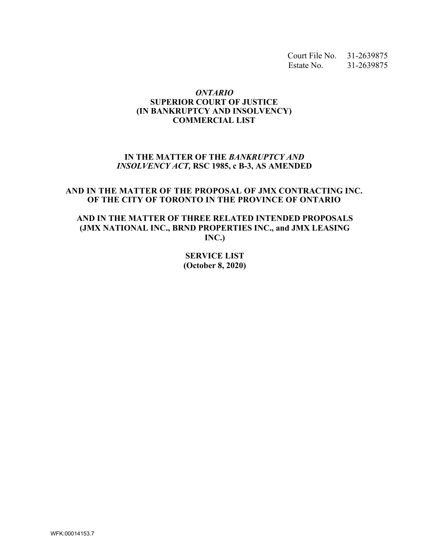Court File No. 31-2639875 Estate No. 31-2639875

#### *ONTARIO*  **SUPERIOR COURT OF JUSTICE (IN BANKRUPTCY AND INSOLVENCY) COMMERCIAL LIST**

## **IN THE MATTER OF THE** *BANKRUPTCY AND INSOLVENCY ACT,* **RSC 1985, c B-3, AS AMENDED**

#### **AND IN THE MATTER OF THE PROPOSAL OF JMX CONTRACTING INC. OF THE CITY OF TORONTO IN THE PROVINCE OF ONTARIO**

**AND IN THE MATTER OF THREE RELATED INTENDED PROPOSALS (JMX NATIONAL INC., BRND PROPERTIES INC., and JMX LEASING INC.)**

> **SERVICE LIST (October 8, 2020)**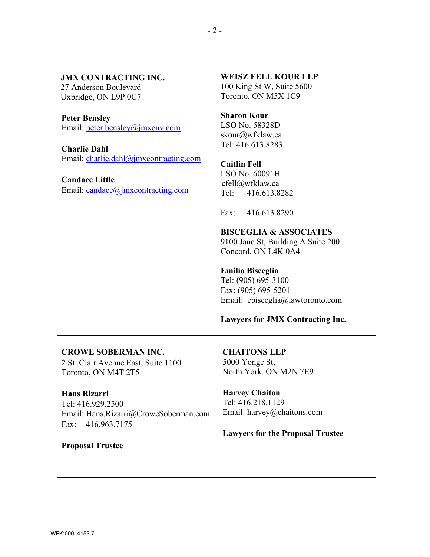| <b>JMX CONTRACTING INC.</b><br>27 Anderson Boulevard<br>Uxbridge, ON L9P 0C7                                                                                                                                                     | <b>WEISZ FELL KOUR LLP</b><br>100 King St W, Suite 5600<br>Toronto, ON M5X 1C9                                                                                                                                                                                                                                                                                                                                                                              |
|----------------------------------------------------------------------------------------------------------------------------------------------------------------------------------------------------------------------------------|-------------------------------------------------------------------------------------------------------------------------------------------------------------------------------------------------------------------------------------------------------------------------------------------------------------------------------------------------------------------------------------------------------------------------------------------------------------|
| <b>Peter Bensley</b><br>Email: peter.bensley@jmxenv.com<br><b>Charlie Dahl</b><br>Email: charlie.dahl@jmxcontracting.com<br><b>Candace Little</b><br>Email: candace@jmxcontracting.com                                           | <b>Sharon Kour</b><br>LSO No. 58328D<br>skour@wfklaw.ca<br>Tel: 416.613.8283<br><b>Caitlin Fell</b><br>LSO No. 60091H<br>cfell@wfklaw.ca<br>416.613.8282<br>Tel:<br>$\text{Fax}:$<br>416.613.8290<br><b>BISCEGLIA &amp; ASSOCIATES</b><br>9100 Jane St, Building A Suite 200<br>Concord, ON L4K 0A4<br><b>Emilio Bisceglia</b><br>Tel: (905) 695-3100<br>Fax: (905) 695-5201<br>Email: ebisceglia@lawtoronto.com<br><b>Lawyers for JMX Contracting Inc.</b> |
| <b>CROWE SOBERMAN INC.</b><br>2 St. Clair Avenue East, Suite 1100<br>Toronto, ON M4T 2T5<br><b>Hans Rizarri</b><br>Tel: 416.929.2500<br>Email: Hans.Rizarri@CroweSoberman.com<br>416.963.7175<br>Fax:<br><b>Proposal Trustee</b> | <b>CHAITONS LLP</b><br>5000 Yonge St,<br>North York, ON M2N 7E9<br><b>Harvey Chaiton</b><br>Tel: 416.218.1129<br>Email: harvey@chaitons.com<br><b>Lawyers for the Proposal Trustee</b>                                                                                                                                                                                                                                                                      |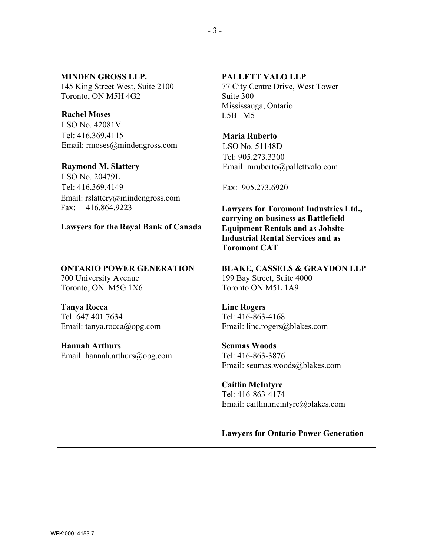| <b>MINDEN GROSS LLP.</b><br>145 King Street West, Suite 2100 | <b>PALLETT VALO LLP</b><br>77 City Centre Drive, West Tower |
|--------------------------------------------------------------|-------------------------------------------------------------|
| Toronto, ON M5H 4G2                                          | Suite 300                                                   |
|                                                              | Mississauga, Ontario                                        |
| <b>Rachel Moses</b>                                          | L5B 1M5                                                     |
| LSO No. 42081V                                               |                                                             |
| Tel: 416.369.4115                                            | <b>Maria Ruberto</b>                                        |
| Email: rmoses@mindengross.com                                | LSO No. 51148D                                              |
|                                                              | Tel: 905.273.3300                                           |
| <b>Raymond M. Slattery</b>                                   | Email: mruberto@pallettvalo.com                             |
| LSO No. 20479L                                               |                                                             |
| Tel: 416.369.4149                                            | Fax: 905.273.6920                                           |
| Email: rslattery@mindengross.com                             |                                                             |
| 416.864.9223<br>Fax:                                         | <b>Lawyers for Toromont Industries Ltd.,</b>                |
|                                                              | carrying on business as Battlefield                         |
| <b>Lawyers for the Royal Bank of Canada</b>                  | <b>Equipment Rentals and as Jobsite</b>                     |
|                                                              | <b>Industrial Rental Services and as</b>                    |
|                                                              | <b>Toromont CAT</b>                                         |
|                                                              |                                                             |
| <b>ONTARIO POWER GENERATION</b>                              | <b>BLAKE, CASSELS &amp; GRAYDON LLP</b>                     |
| 700 University Avenue                                        | 199 Bay Street, Suite 4000                                  |
| Toronto, ON M5G 1X6                                          | Toronto ON M5L 1A9                                          |
|                                                              |                                                             |
| <b>Tanya Rocca</b>                                           | <b>Linc Rogers</b>                                          |
| Tel: 647.401.7634                                            | Tel: 416-863-4168                                           |
| Email: tanya.rocca@opg.com                                   | Email: linc.rogers@blakes.com                               |
| <b>Hannah Arthurs</b>                                        | <b>Seumas Woods</b>                                         |
| Email: hannah.arthurs@opg.com                                | Tel: 416-863-3876                                           |
|                                                              | Email: seumas.woods@blakes.com                              |
|                                                              |                                                             |
|                                                              | <b>Caitlin McIntyre</b>                                     |
|                                                              | Tel: 416-863-4174                                           |
|                                                              | Email: caitlin.mcintyre@blakes.com                          |
|                                                              |                                                             |
|                                                              |                                                             |
|                                                              | <b>Lawyers for Ontario Power Generation</b>                 |
|                                                              |                                                             |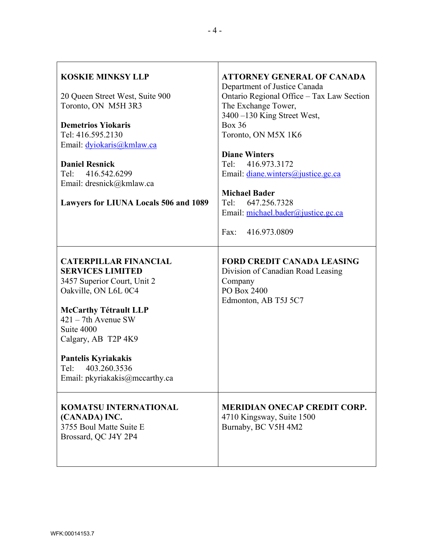| <b>KOSKIE MINKSY LLP</b><br>20 Queen Street West, Suite 900<br>Toronto, ON M5H 3R3<br><b>Demetrios Yiokaris</b><br>Tel: 416.595.2130<br>Email: dyiokaris@kmlaw.ca<br><b>Daniel Resnick</b><br>Tel:<br>416.542.6299<br>Email: dresnick@kmlaw.ca<br>Lawyers for LIUNA Locals 506 and 1089        | <b>ATTORNEY GENERAL OF CANADA</b><br>Department of Justice Canada<br>Ontario Regional Office - Tax Law Section<br>The Exchange Tower,<br>3400 -130 King Street West,<br><b>Box 36</b><br>Toronto, ON M5X 1K6<br><b>Diane Winters</b><br>416.973.3172<br>Tel:<br>Email: diane.winters@justice.gc.ca<br><b>Michael Bader</b><br>647.256.7328<br>Tel:<br>Email: michael.bader@justice.gc.ca<br>416.973.0809<br>Fax: |
|------------------------------------------------------------------------------------------------------------------------------------------------------------------------------------------------------------------------------------------------------------------------------------------------|------------------------------------------------------------------------------------------------------------------------------------------------------------------------------------------------------------------------------------------------------------------------------------------------------------------------------------------------------------------------------------------------------------------|
| <b>CATERPILLAR FINANCIAL</b><br><b>SERVICES LIMITED</b><br>3457 Superior Court, Unit 2<br>Oakville, ON L6L 0C4<br><b>McCarthy Tétrault LLP</b><br>$421 - 7$ th Avenue SW<br>Suite 4000<br>Calgary, AB T2P 4K9<br>Pantelis Kyriakakis<br>Tel:<br>403.260.3536<br>Email: pkyriakakis@mccarthy.ca | <b>FORD CREDIT CANADA LEASING</b><br>Division of Canadian Road Leasing<br>Company<br>PO Box 2400<br>Edmonton, AB T5J 5C7                                                                                                                                                                                                                                                                                         |
| <b>KOMATSU INTERNATIONAL</b><br>(CANADA) INC.<br>3755 Boul Matte Suite E<br>Brossard, QC J4Y 2P4                                                                                                                                                                                               | <b>MERIDIAN ONECAP CREDIT CORP.</b><br>4710 Kingsway, Suite 1500<br>Burnaby, BC V5H 4M2                                                                                                                                                                                                                                                                                                                          |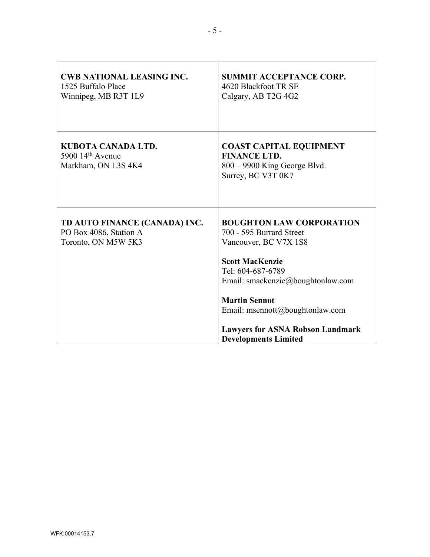| <b>CWB NATIONAL LEASING INC.</b><br>1525 Buffalo Place<br>Winnipeg, MB R3T 1L9 | <b>SUMMIT ACCEPTANCE CORP.</b><br>4620 Blackfoot TR SE<br>Calgary, AB T2G 4G2                                                                                                                                                                                                                                 |
|--------------------------------------------------------------------------------|---------------------------------------------------------------------------------------------------------------------------------------------------------------------------------------------------------------------------------------------------------------------------------------------------------------|
| KUBOTA CANADA LTD.<br>5900 $14th$ Avenue<br>Markham, ON L3S 4K4                | <b>COAST CAPITAL EQUIPMENT</b><br><b>FINANCE LTD.</b><br>$800 - 9900$ King George Blvd.<br>Surrey, BC V3T 0K7                                                                                                                                                                                                 |
| TD AUTO FINANCE (CANADA) INC.<br>PO Box 4086, Station A<br>Toronto, ON M5W 5K3 | <b>BOUGHTON LAW CORPORATION</b><br>700 - 595 Burrard Street<br>Vancouver, BC V7X 1S8<br><b>Scott MacKenzie</b><br>Tel: 604-687-6789<br>Email: smackenzie@boughtonlaw.com<br><b>Martin Sennot</b><br>Email: msennott@boughtonlaw.com<br><b>Lawyers for ASNA Robson Landmark</b><br><b>Developments Limited</b> |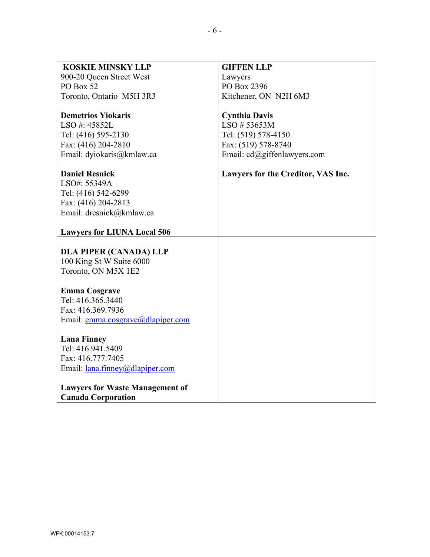| <b>KOSKIE MINSKY LLP</b>               | <b>GIFFEN LLP</b>                  |
|----------------------------------------|------------------------------------|
|                                        |                                    |
| 900-20 Queen Street West               | Lawyers                            |
| PO Box 52                              | PO Box 2396                        |
| Toronto, Ontario M5H 3R3               | Kitchener, ON N2H 6M3              |
|                                        |                                    |
| <b>Demetrios Yiokaris</b>              | <b>Cynthia Davis</b>               |
| LSO#: 45852L                           | LSO #53653M                        |
| Tel: (416) 595-2130                    | Tel: (519) 578-4150                |
| Fax: (416) 204-2810                    | Fax: (519) 578-8740                |
| Email: dyiokaris@kmlaw.ca              | Email: cd@giffenlawyers.com        |
|                                        |                                    |
| <b>Daniel Resnick</b>                  | Lawyers for the Creditor, VAS Inc. |
| LSO#: 55349A                           |                                    |
| Tel: (416) 542-6299                    |                                    |
| Fax: (416) 204-2813                    |                                    |
| Email: dresnick@kmlaw.ca               |                                    |
|                                        |                                    |
| <b>Lawyers for LIUNA Local 506</b>     |                                    |
|                                        |                                    |
| <b>DLA PIPER (CANADA) LLP</b>          |                                    |
| 100 King St W Suite 6000               |                                    |
| Toronto, ON M5X 1E2                    |                                    |
|                                        |                                    |
| <b>Emma Cosgrave</b>                   |                                    |
| Tel: 416.365.3440                      |                                    |
| Fax: 416.369.7936                      |                                    |
| Email: emma.cosgrave@dlapiper.com      |                                    |
|                                        |                                    |
| <b>Lana Finney</b>                     |                                    |
| Tel: 416.941.5409                      |                                    |
| Fax: 416.777.7405                      |                                    |
| Email: <u>lana.finney@dlapiper.com</u> |                                    |
|                                        |                                    |
| <b>Lawyers for Waste Management of</b> |                                    |
| <b>Canada Corporation</b>              |                                    |